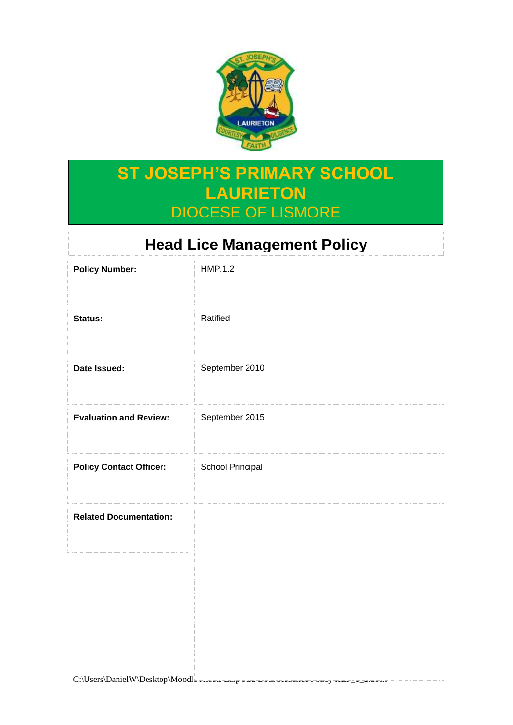

## **ST JOSEPH'S PRIMARY SCHOOL LAURIETON** DIOCESE OF LISMORE

# **Head Lice Management Policy**

| <b>Policy Number:</b>          | <b>HMP.1.2</b>   |
|--------------------------------|------------------|
| Status:                        | Ratified         |
| Date Issued:                   | September 2010   |
| <b>Evaluation and Review:</b>  | September 2015   |
| <b>Policy Contact Officer:</b> | School Principal |
| <b>Related Documentation:</b>  |                  |
|                                |                  |
|                                |                  |
|                                |                  |

 $C:\Upsilon\to\Upsilon$  DanielW\Desktop\Moodle Assets Larpy HQ Docs preasure Policy HLP\_1\_2.docx